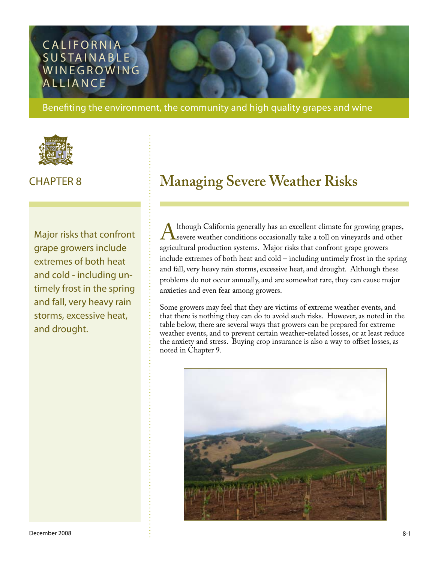## **CALIFORNIA** SUSTAINABLE WINEGROWING **ALLIANCE**

Benefiting the environment, the community and high quality grapes and wine



Major risks that confront grape growers include extremes of both heat and cold - including untimely frost in the spring and fall, very heavy rain storms, excessive heat, and drought.

# CHAPTER 8 **Managing Severe Weather Risks**

Although California generally has an excellent climate for growing grapes,<br>severe weather conditions occasionally take a toll on vineyards and other<br>agricultural production systems. Major risks that confront grape growers severe weather conditions occasionally take a toll on vineyards and other agricultural production systems. Major risks that confront grape growers include extremes of both heat and cold – including untimely frost in the spring and fall, very heavy rain storms, excessive heat, and drought. Although these problems do not occur annually, and are somewhat rare, they can cause major anxieties and even fear among growers.

Some growers may feel that they are victims of extreme weather events, and that there is nothing they can do to avoid such risks. However, as noted in the table below, there are several ways that growers can be prepared for extreme weather events, and to prevent certain weather-related losses, or at least reduce the anxiety and stress. Buying crop insurance is also a way to offset losses, as noted in Chapter 9.